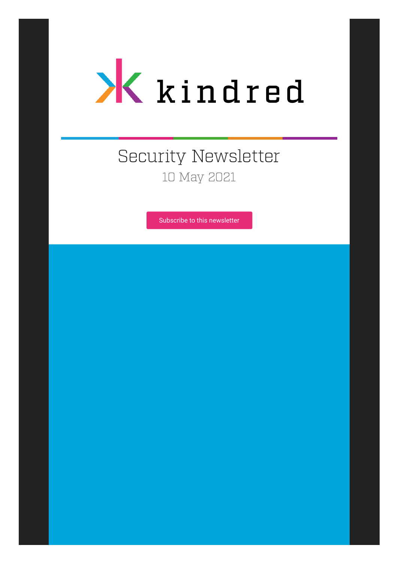

# Security Newsletter 10 May 2021

[Subscribe to this newsletter](https://news.infosecgur.us/register)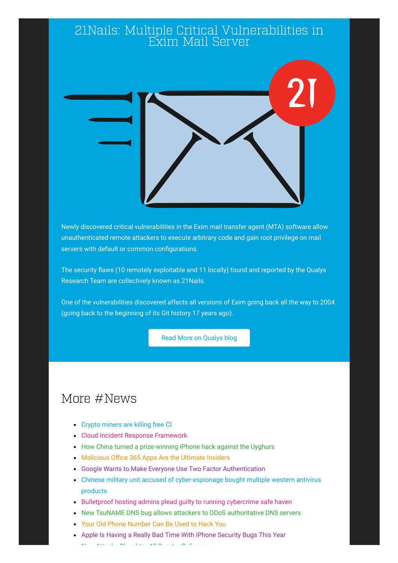#### 21Nails: Multiple Critical Vulnerabilities in Exim Mail Server



Newly discovered critical vulnerabilities in the Exim mail transfer agent (MTA) software allow unauthenticated remote attackers to execute arbitrary code and gain root privilege on mail servers with default or common configurations.

The security flaws (10 remotely exploitable and 11 locally) found and reported by the Qualys Research Team are collectively known as 21Nails.

One of the vulnerabilities discovered affects all versions of Exim going back all the way to 2004 (going back to the beginning of its Git history 17 years ago).

[Read More on Qualys blog](https://blog.qualys.com/vulnerabilities-research/2021/05/04/21nails-multiple-vulnerabilities-in-exim-mail-server)

## More #News

- [Crypto miners are killing free CI](https://layerci.com/blog/crypto-miners-are-killing-free-ci/)
- [Cloud Incident Response Framework](https://cloudsecurityalliance.org/artifacts/cloud-incident-response-framework/)
- [How China turned a prize-winning iPhone hack against the Uyghurs](https://www.technologyreview.com/2021/05/06/1024621/china-apple-spy-uyghur-hacker-tianfu/)
- Malicious Office 365 Apps Are the Ultimate Insiders
- [Google Wants to Make Everyone Use Two Factor Authentication](https://www.vice.com/amp/en/article/93yyqe/google-wants-to-make-everyone-use-two-factor-authentication)
- [Chinese military unit accused of cyber-espionage bought multiple western antivirus](https://therecord.media/chinese-military-unit-accused-of-cyber-espionage-bought-multiple-western-antivirus-products/) products
- [Bulletproof hosting admins plead guilty to running cybercrime safe haven](https://www.bleepingcomputer.com/news/security/bulletproof-hosting-admins-plead-guilty-to-running-cybercrime-safe-haven/)
- [New TsuNAME DNS bug allows attackers to DDoS authoritative DNS servers](https://www.bleepingcomputer.com/news/security/new-tsuname-dns-bug-allows-attackers-to-ddos-authoritative-dns-servers/)
- [Your Old Phone Number Can Be Used to Hack You](https://www.vice.com/en/article/wx55xz/your-old-phone-number-can-be-used-to-hack-you-study-finds)
- [Apple Is Having a Really Bad Time With iPhone Security Bugs This Year](https://www.vice.com/en/article/v7ee7m/apple-is-having-a-really-bad-time-with-iphone-security-bugs-this-year) Attacks Sla ghter All Spectrum [Defenses](https://threatpost.com/attacks-slaughter-spectre-defenses/165809/)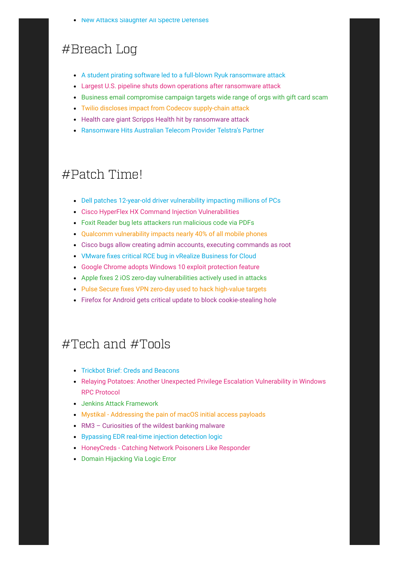• [New Attacks Slaughter All Spectre Defenses](https://threatpost.com/attacks-slaughter-spectre-defenses/165809/)

#### #Breach Log

- [A student pirating software led to a full-blown Ryuk ransomware attack](https://www.bleepingcomputer.com/news/security/a-student-pirating-software-led-to-a-full-blown-ryuk-ransomware-attack/)
- [Largest U.S. pipeline shuts down operations after ransomware attack](https://www.bleepingcomputer.com/news/security/largest-us-pipeline-shuts-down-operations-after-ransomware-attack/)
- [Business email compromise campaign targets wide range of orgs with gift card scam](https://www.microsoft.com/security/blog/2021/05/06/business-email-compromise-campaign-targets-wide-range-of-orgs-with-gift-card-scam/)
- [Twilio discloses impact from Codecov supply-chain attack](https://www.bleepingcomputer.com/news/security/twilio-discloses-impact-from-codecov-supply-chain-attack/)
- [Health care giant Scripps Health hit by ransomware attack](https://www.bleepingcomputer.com/news/security/health-care-giant-scripps-health-hit-by-ransomware-attack/)
- [Ransomware Hits Australian Telecom Provider Telstra's Partner](https://www.bankinfosecurity.com/ransomware-hits-australian-telecom-provider-telstras-partner-a-16524)

### #Patch Time!

- [Dell patches 12-year-old driver vulnerability impacting millions of PCs](https://labs.sentinelone.com/cve-2021-21551-hundreds-of-millions-of-dell-computers-at-risk-due-to-multiple-bios-driver-privilege-escalation-flaws/)
- [Cisco HyperFlex HX Command Injection Vulnerabilities](https://tools.cisco.com/security/center/content/CiscoSecurityAdvisory/cisco-sa-hyperflex-rce-TjjNrkpR)
- [Foxit Reader bug lets attackers run malicious code via PDFs](https://www.bleepingcomputer.com/news/security/foxit-reader-bug-lets-attackers-run-malicious-code-via-pdfs/)
- [Qualcomm vulnerability impacts nearly 40% of all mobile phones](https://www.bleepingcomputer.com/news/security/qualcomm-vulnerability-impacts-nearly-40-percent-of-all-mobile-phones/)
- [Cisco bugs allow creating admin accounts, executing commands as root](https://www.bleepingcomputer.com/news/security/cisco-bugs-allow-creating-admin-accounts-executing-commands-as-root/)
- VMware fixes critical RCE bug in vRealize Business for Cloud
- [Google Chrome adopts Windows 10 exploit protection feature](https://www.bleepingcomputer.com/news/security/google-chrome-adopts-windows-10-exploit-protection-feature/)
- Apple fixes 2 iOS zero-day vulnerabilities actively used in attacks
- Pulse Secure fixes VPN zero-day used to hack high-value targets
- [Firefox for Android gets critical update to block cookie-stealing hole](https://nakedsecurity.sophos.com/2021/05/06/firefox-for-android-gets-critical-update-to-block-cookie-stealing-hole/)

#### #Tech and #Tools

- [Trickbot Brief: Creds and Beacons](https://thedfirreport.com/2021/05/02/trickbot-brief-creds-and-beacons/)
- [Relaying Potatoes: Another Unexpected Privilege Escalation Vulnerability in Windows](https://labs.sentinelone.com/relaying-potatoes-dce-rpc-ntlm-relay-eop/) RPC Protocol
- [Jenkins Attack Framework](https://github.com/Accenture/jenkins-attack-framework)
- [Mystikal Addressing the pain of macOS initial access payloads](https://posts.specterops.io/introducing-mystikal-4fbd2f7ae520)
- [RM3 Curiosities of the wildest banking malware](https://research.nccgroup.com/2021/05/04/rm3-curiosities-of-the-wildest-banking-malware/)
- **[Bypassing EDR real-time injection detection logic](https://blog.redbluepurple.io/offensive-research/bypassing-injection-detection)**
- [HoneyCreds Catching Network Poisoners Like Responder](https://github.com/ben0xa/honeycreds)
- [Domain Hijacking Via Logic Error](https://www.cyberis.co.uk/blog/domain-hijacking.html)